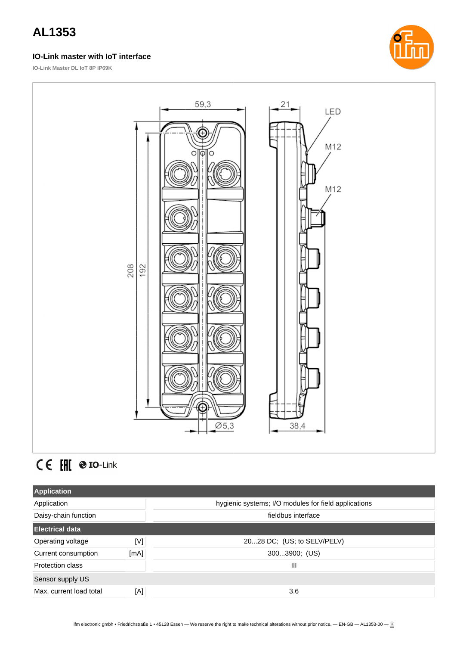#### **IO-Link master with IoT interface**

**IO-Link Master DL IoT 8P IP69K**





# CE EHI @ IO-Link

| <b>Application</b>      |      |                                                      |
|-------------------------|------|------------------------------------------------------|
| Application             |      | hygienic systems; I/O modules for field applications |
| Daisy-chain function    |      | fieldbus interface                                   |
| <b>Electrical data</b>  |      |                                                      |
| Operating voltage       | [V]  | 2028 DC; (US; to SELV/PELV)                          |
| Current consumption     | [mA] | 3003900; (US)                                        |
| Protection class        |      | Ш                                                    |
| Sensor supply US        |      |                                                      |
| Max. current load total | [A]  | 3.6                                                  |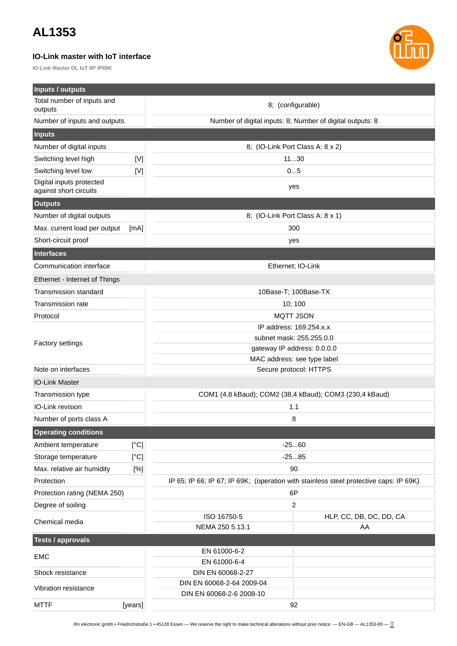#### **IO-Link master with IoT interface**

**IO-Link Master DL IoT 8P IP69K**

![](_page_1_Picture_3.jpeg)

| <b>Inputs / outputs</b>                            |                                                                                                                                                                                                                                                                                                                                                                                                                                                                                                                                                                                                                                                                                                                                                                                                                                                                                                                                                                                                                                                                                                                  |                                                                                       |                         |
|----------------------------------------------------|------------------------------------------------------------------------------------------------------------------------------------------------------------------------------------------------------------------------------------------------------------------------------------------------------------------------------------------------------------------------------------------------------------------------------------------------------------------------------------------------------------------------------------------------------------------------------------------------------------------------------------------------------------------------------------------------------------------------------------------------------------------------------------------------------------------------------------------------------------------------------------------------------------------------------------------------------------------------------------------------------------------------------------------------------------------------------------------------------------------|---------------------------------------------------------------------------------------|-------------------------|
| Total number of inputs and                         |                                                                                                                                                                                                                                                                                                                                                                                                                                                                                                                                                                                                                                                                                                                                                                                                                                                                                                                                                                                                                                                                                                                  | 8; (configurable)                                                                     |                         |
| outputs                                            |                                                                                                                                                                                                                                                                                                                                                                                                                                                                                                                                                                                                                                                                                                                                                                                                                                                                                                                                                                                                                                                                                                                  |                                                                                       |                         |
| Number of inputs and outputs                       |                                                                                                                                                                                                                                                                                                                                                                                                                                                                                                                                                                                                                                                                                                                                                                                                                                                                                                                                                                                                                                                                                                                  | Number of digital inputs: 8; Number of digital outputs: 8                             |                         |
| <b>Inputs</b>                                      |                                                                                                                                                                                                                                                                                                                                                                                                                                                                                                                                                                                                                                                                                                                                                                                                                                                                                                                                                                                                                                                                                                                  |                                                                                       |                         |
| Number of digital inputs                           |                                                                                                                                                                                                                                                                                                                                                                                                                                                                                                                                                                                                                                                                                                                                                                                                                                                                                                                                                                                                                                                                                                                  | 8; (IO-Link Port Class A: 8 x 2)                                                      |                         |
| Switching level high                               | $[{\mathsf{V}}] % \centering \includegraphics[width=0.9\textwidth]{images/TrDiM-Architecture.png} % \caption{The first two different values of the estimators in the right, the first two different values of the input and the second two different values of the input and the second two different values of the input and the third two different values of the input and the third two different values of the input and the third two different values of the input and the third two different values of the input and the third two different values of the input and the third two different values of the input and the third two different values of the input and the third two different values of the input and the third two different values of the input and the third two different values of the input and the third two different values of the input and the third two different values of the input and the third two different values of the input and the third two different values of the input and the third two different values of the input and the third two different values of$ | 1130                                                                                  |                         |
| Switching level low                                | [V]                                                                                                                                                                                                                                                                                                                                                                                                                                                                                                                                                                                                                                                                                                                                                                                                                                                                                                                                                                                                                                                                                                              | 05                                                                                    |                         |
| Digital inputs protected<br>against short circuits |                                                                                                                                                                                                                                                                                                                                                                                                                                                                                                                                                                                                                                                                                                                                                                                                                                                                                                                                                                                                                                                                                                                  | yes                                                                                   |                         |
| <b>Outputs</b>                                     |                                                                                                                                                                                                                                                                                                                                                                                                                                                                                                                                                                                                                                                                                                                                                                                                                                                                                                                                                                                                                                                                                                                  |                                                                                       |                         |
| Number of digital outputs                          |                                                                                                                                                                                                                                                                                                                                                                                                                                                                                                                                                                                                                                                                                                                                                                                                                                                                                                                                                                                                                                                                                                                  | 8; (IO-Link Port Class A: 8 x 1)                                                      |                         |
| Max. current load per output                       | [mA]                                                                                                                                                                                                                                                                                                                                                                                                                                                                                                                                                                                                                                                                                                                                                                                                                                                                                                                                                                                                                                                                                                             | 300                                                                                   |                         |
| Short-circuit proof                                |                                                                                                                                                                                                                                                                                                                                                                                                                                                                                                                                                                                                                                                                                                                                                                                                                                                                                                                                                                                                                                                                                                                  | yes                                                                                   |                         |
| <b>Interfaces</b>                                  |                                                                                                                                                                                                                                                                                                                                                                                                                                                                                                                                                                                                                                                                                                                                                                                                                                                                                                                                                                                                                                                                                                                  |                                                                                       |                         |
| Communication interface                            |                                                                                                                                                                                                                                                                                                                                                                                                                                                                                                                                                                                                                                                                                                                                                                                                                                                                                                                                                                                                                                                                                                                  | Ethernet; IO-Link                                                                     |                         |
| Ethernet - Internet of Things                      |                                                                                                                                                                                                                                                                                                                                                                                                                                                                                                                                                                                                                                                                                                                                                                                                                                                                                                                                                                                                                                                                                                                  |                                                                                       |                         |
| <b>Transmission standard</b>                       |                                                                                                                                                                                                                                                                                                                                                                                                                                                                                                                                                                                                                                                                                                                                                                                                                                                                                                                                                                                                                                                                                                                  | 10Base-T; 100Base-TX                                                                  |                         |
| Transmission rate                                  |                                                                                                                                                                                                                                                                                                                                                                                                                                                                                                                                                                                                                                                                                                                                                                                                                                                                                                                                                                                                                                                                                                                  | 10; 100                                                                               |                         |
| Protocol                                           |                                                                                                                                                                                                                                                                                                                                                                                                                                                                                                                                                                                                                                                                                                                                                                                                                                                                                                                                                                                                                                                                                                                  | <b>MQTT JSON</b>                                                                      |                         |
|                                                    |                                                                                                                                                                                                                                                                                                                                                                                                                                                                                                                                                                                                                                                                                                                                                                                                                                                                                                                                                                                                                                                                                                                  | IP address: 169.254.x.x                                                               |                         |
| <b>Factory settings</b>                            |                                                                                                                                                                                                                                                                                                                                                                                                                                                                                                                                                                                                                                                                                                                                                                                                                                                                                                                                                                                                                                                                                                                  | subnet mask: 255.255.0.0                                                              |                         |
|                                                    |                                                                                                                                                                                                                                                                                                                                                                                                                                                                                                                                                                                                                                                                                                                                                                                                                                                                                                                                                                                                                                                                                                                  | gateway IP address: 0.0.0.0                                                           |                         |
|                                                    |                                                                                                                                                                                                                                                                                                                                                                                                                                                                                                                                                                                                                                                                                                                                                                                                                                                                                                                                                                                                                                                                                                                  | MAC address: see type label                                                           |                         |
| Note on interfaces                                 |                                                                                                                                                                                                                                                                                                                                                                                                                                                                                                                                                                                                                                                                                                                                                                                                                                                                                                                                                                                                                                                                                                                  | Secure protocol: HTTPS                                                                |                         |
| <b>IO-Link Master</b>                              |                                                                                                                                                                                                                                                                                                                                                                                                                                                                                                                                                                                                                                                                                                                                                                                                                                                                                                                                                                                                                                                                                                                  |                                                                                       |                         |
| Transmission type                                  |                                                                                                                                                                                                                                                                                                                                                                                                                                                                                                                                                                                                                                                                                                                                                                                                                                                                                                                                                                                                                                                                                                                  | COM1 (4,8 kBaud); COM2 (38,4 kBaud); COM3 (230,4 kBaud)                               |                         |
| IO-Link revision                                   |                                                                                                                                                                                                                                                                                                                                                                                                                                                                                                                                                                                                                                                                                                                                                                                                                                                                                                                                                                                                                                                                                                                  | 1.1                                                                                   |                         |
| Number of ports class A                            |                                                                                                                                                                                                                                                                                                                                                                                                                                                                                                                                                                                                                                                                                                                                                                                                                                                                                                                                                                                                                                                                                                                  | 8                                                                                     |                         |
| <b>Operating conditions</b>                        |                                                                                                                                                                                                                                                                                                                                                                                                                                                                                                                                                                                                                                                                                                                                                                                                                                                                                                                                                                                                                                                                                                                  |                                                                                       |                         |
| Ambient temperature                                | [°C]                                                                                                                                                                                                                                                                                                                                                                                                                                                                                                                                                                                                                                                                                                                                                                                                                                                                                                                                                                                                                                                                                                             | $-2560$                                                                               |                         |
| Storage temperature                                | [°C]                                                                                                                                                                                                                                                                                                                                                                                                                                                                                                                                                                                                                                                                                                                                                                                                                                                                                                                                                                                                                                                                                                             | $-2585$                                                                               |                         |
| Max. relative air humidity                         | [%]                                                                                                                                                                                                                                                                                                                                                                                                                                                                                                                                                                                                                                                                                                                                                                                                                                                                                                                                                                                                                                                                                                              | 90                                                                                    |                         |
| Protection                                         |                                                                                                                                                                                                                                                                                                                                                                                                                                                                                                                                                                                                                                                                                                                                                                                                                                                                                                                                                                                                                                                                                                                  | IP 65; IP 66; IP 67; IP 69K; (operation with stainless steel protective caps: IP 69K) |                         |
| Protection rating (NEMA 250)                       |                                                                                                                                                                                                                                                                                                                                                                                                                                                                                                                                                                                                                                                                                                                                                                                                                                                                                                                                                                                                                                                                                                                  | 6P                                                                                    |                         |
| Degree of soiling                                  |                                                                                                                                                                                                                                                                                                                                                                                                                                                                                                                                                                                                                                                                                                                                                                                                                                                                                                                                                                                                                                                                                                                  | $\overline{c}$                                                                        |                         |
| Chemical media                                     |                                                                                                                                                                                                                                                                                                                                                                                                                                                                                                                                                                                                                                                                                                                                                                                                                                                                                                                                                                                                                                                                                                                  | ISO 16750-5                                                                           | HLP, CC, DB, DC, DD, CA |
|                                                    |                                                                                                                                                                                                                                                                                                                                                                                                                                                                                                                                                                                                                                                                                                                                                                                                                                                                                                                                                                                                                                                                                                                  | NEMA 250 5.13.1                                                                       | AA                      |
| <b>Tests / approvals</b>                           |                                                                                                                                                                                                                                                                                                                                                                                                                                                                                                                                                                                                                                                                                                                                                                                                                                                                                                                                                                                                                                                                                                                  |                                                                                       |                         |
| <b>EMC</b>                                         |                                                                                                                                                                                                                                                                                                                                                                                                                                                                                                                                                                                                                                                                                                                                                                                                                                                                                                                                                                                                                                                                                                                  | EN 61000-6-2<br>EN 61000-6-4                                                          |                         |
| Shock resistance                                   |                                                                                                                                                                                                                                                                                                                                                                                                                                                                                                                                                                                                                                                                                                                                                                                                                                                                                                                                                                                                                                                                                                                  | DIN EN 60068-2-27                                                                     |                         |
|                                                    |                                                                                                                                                                                                                                                                                                                                                                                                                                                                                                                                                                                                                                                                                                                                                                                                                                                                                                                                                                                                                                                                                                                  | DIN EN 60068-2-64 2009-04                                                             |                         |
| Vibration resistance                               |                                                                                                                                                                                                                                                                                                                                                                                                                                                                                                                                                                                                                                                                                                                                                                                                                                                                                                                                                                                                                                                                                                                  | DIN EN 60068-2-6 2008-10                                                              |                         |
| <b>MTTF</b>                                        | [years]                                                                                                                                                                                                                                                                                                                                                                                                                                                                                                                                                                                                                                                                                                                                                                                                                                                                                                                                                                                                                                                                                                          | 92                                                                                    |                         |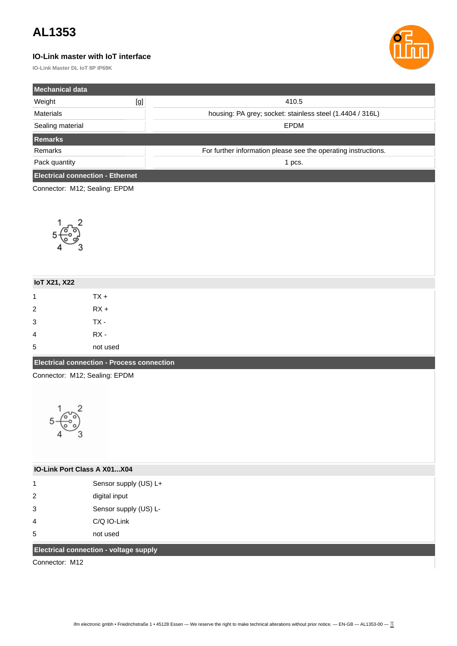#### **IO-Link master with IoT interface**

**IO-Link Master DL IoT 8P IP69K**

![](_page_2_Picture_3.jpeg)

| <b>Mechanical data</b>                  |     |                                                                |  |  |
|-----------------------------------------|-----|----------------------------------------------------------------|--|--|
| Weight                                  | [g] | 410.5                                                          |  |  |
| <b>Materials</b>                        |     | housing: PA grey; socket: stainless steel (1.4404 / 316L)      |  |  |
| Sealing material                        |     | <b>EPDM</b>                                                    |  |  |
| Remarks <sup>'</sup>                    |     |                                                                |  |  |
| <b>Remarks</b>                          |     | For further information please see the operating instructions. |  |  |
| Pack quantity                           |     | 1 pcs.                                                         |  |  |
| <b>Electrical connection - Ethernet</b> |     |                                                                |  |  |

Connector: M12; Sealing: EPDM

![](_page_2_Figure_6.jpeg)

| <b>IoT X21, X22</b>                               |          |
|---------------------------------------------------|----------|
| 1                                                 | $TX +$   |
| $\overline{2}$                                    | $RX +$   |
| 3                                                 | TX -     |
| 4                                                 | RX -     |
| 5                                                 | not used |
| <b>Electrical connection - Process connection</b> |          |

Connector: M12; Sealing: EPDM

![](_page_2_Figure_9.jpeg)

| <b>IO-Link Port Class A X01X04</b> |                       |  |
|------------------------------------|-----------------------|--|
| 1                                  | Sensor supply (US) L+ |  |
| $\mathcal{P}$                      | digital input         |  |
| 3                                  | Sensor supply (US) L- |  |
| 4                                  | C/Q IO-Link           |  |
| 5                                  | not used              |  |

#### **Electrical connection - voltage supply**

Connector: M12